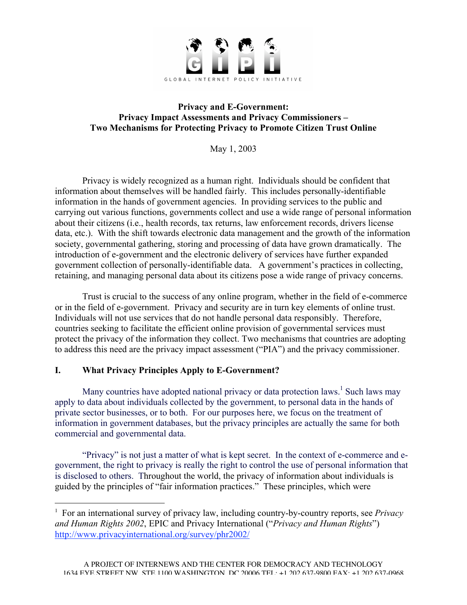

### **Privacy and E-Government: Privacy Impact Assessments and Privacy Commissioners – Two Mechanisms for Protecting Privacy to Promote Citizen Trust Online**

May 1, 2003

Privacy is widely recognized as a human right. Individuals should be confident that information about themselves will be handled fairly. This includes personally-identifiable information in the hands of government agencies. In providing services to the public and carrying out various functions, governments collect and use a wide range of personal information about their citizens (i.e., health records, tax returns, law enforcement records, drivers license data, etc.). With the shift towards electronic data management and the growth of the information society, governmental gathering, storing and processing of data have grown dramatically. The introduction of e-government and the electronic delivery of services have further expanded government collection of personally-identifiable data. A government's practices in collecting, retaining, and managing personal data about its citizens pose a wide range of privacy concerns.

Trust is crucial to the success of any online program, whether in the field of e-commerce or in the field of e-government. Privacy and security are in turn key elements of online trust. Individuals will not use services that do not handle personal data responsibly. Therefore, countries seeking to facilitate the efficient online provision of governmental services must protect the privacy of the information they collect. Two mechanisms that countries are adopting to address this need are the privacy impact assessment ("PIA") and the privacy commissioner.

## **I. What Privacy Principles Apply to E-Government?**

Many countries have adopted national privacy or data protection laws.<sup>1</sup> Such laws may apply to data about individuals collected by the government, to personal data in the hands of private sector businesses, or to both. For our purposes here, we focus on the treatment of information in government databases, but the privacy principles are actually the same for both commercial and governmental data.

"Privacy" is not just a matter of what is kept secret. In the context of e-commerce and egovernment, the right to privacy is really the right to control the use of personal information that is disclosed to others. Throughout the world, the privacy of information about individuals is guided by the principles of "fair information practices." These principles, which were

 $\frac{1}{1}$  For an international survey of privacy law, including country-by-country reports, see *Privacy and Human Rights 2002*, EPIC and Privacy International ("*Privacy and Human Rights*") http://www.privacyinternational.org/survey/phr2002/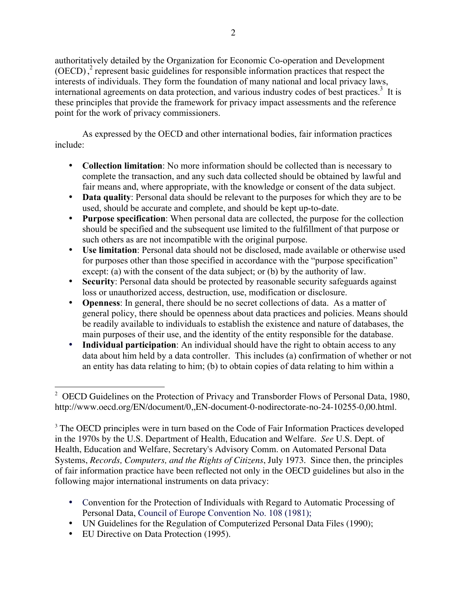authoritatively detailed by the Organization for Economic Co-operation and Development (OECD),<sup>2</sup> represent basic guidelines for responsible information practices that respect the interests of individuals. They form the foundation of many national and local privacy laws, international agreements on data protection, and various industry codes of best practices.<sup>3</sup> It is these principles that provide the framework for privacy impact assessments and the reference point for the work of privacy commissioners.

As expressed by the OECD and other international bodies, fair information practices include:

**Collection limitation**: No more information should be collected than is necessary to complete the transaction, and any such data collected should be obtained by lawful and fair means and, where appropriate, with the knowledge or consent of the data subject. **Data quality**: Personal data should be relevant to the purposes for which they are to be used, should be accurate and complete, and should be kept up-to-date.

**Purpose specification**: When personal data are collected, the purpose for the collection should be specified and the subsequent use limited to the fulfillment of that purpose or such others as are not incompatible with the original purpose.

**Use limitation**: Personal data should not be disclosed, made available or otherwise used for purposes other than those specified in accordance with the "purpose specification" except: (a) with the consent of the data subject; or (b) by the authority of law. **Security**: Personal data should be protected by reasonable security safeguards against loss or unauthorized access, destruction, use, modification or disclosure.

**Openness**: In general, there should be no secret collections of data. As a matter of general policy, there should be openness about data practices and policies. Means should be readily available to individuals to establish the existence and nature of databases, the main purposes of their use, and the identity of the entity responsible for the database. **Individual participation**: An individual should have the right to obtain access to any data about him held by a data controller. This includes (a) confirmation of whether or not an entity has data relating to him; (b) to obtain copies of data relating to him within a

Convention for the Protection of Individuals with Regard to Automatic Processing of Personal Data, Council of Europe Convention No. 108 (1981); UN Guidelines for the Regulation of Computerized Personal Data Files (1990); EU Directive on Data Protection (1995).

 $2^{\circ}$  OECD Guidelines on the Protection of Privacy and Transborder Flows of Personal Data, 1980, http://www.oecd.org/EN/document/0,,EN-document-0-nodirectorate-no-24-10255-0,00.html.

<sup>&</sup>lt;sup>3</sup> The OECD principles were in turn based on the Code of Fair Information Practices developed in the 1970s by the U.S. Department of Health, Education and Welfare. *See* U.S. Dept. of Health, Education and Welfare, Secretary's Advisory Comm. on Automated Personal Data Systems, *Records, Computers, and the Rights of Citizens*, July 1973. Since then, the principles of fair information practice have been reflected not only in the OECD guidelines but also in the following major international instruments on data privacy: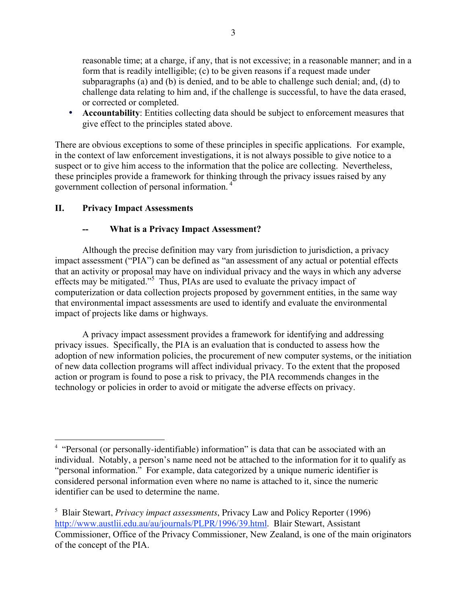reasonable time; at a charge, if any, that is not excessive; in a reasonable manner; and in a form that is readily intelligible; (c) to be given reasons if a request made under subparagraphs (a) and (b) is denied, and to be able to challenge such denial; and, (d) to challenge data relating to him and, if the challenge is successful, to have the data erased, or corrected or completed.

**Accountability**: Entities collecting data should be subject to enforcement measures that give effect to the principles stated above.

There are obvious exceptions to some of these principles in specific applications. For example, in the context of law enforcement investigations, it is not always possible to give notice to a suspect or to give him access to the information that the police are collecting. Nevertheless, these principles provide a framework for thinking through the privacy issues raised by any government collection of personal information. <sup>4</sup>

## **II. Privacy Impact Assessments**

## **-- What is a Privacy Impact Assessment?**

Although the precise definition may vary from jurisdiction to jurisdiction, a privacy impact assessment ("PIA") can be defined as "an assessment of any actual or potential effects that an activity or proposal may have on individual privacy and the ways in which any adverse effects may be mitigated."<sup>5</sup> Thus, PIAs are used to evaluate the privacy impact of computerization or data collection projects proposed by government entities, in the same way that environmental impact assessments are used to identify and evaluate the environmental impact of projects like dams or highways.

A privacy impact assessment provides a framework for identifying and addressing privacy issues. Specifically, the PIA is an evaluation that is conducted to assess how the adoption of new information policies, the procurement of new computer systems, or the initiation of new data collection programs will affect individual privacy. To the extent that the proposed action or program is found to pose a risk to privacy, the PIA recommends changes in the technology or policies in order to avoid or mitigate the adverse effects on privacy.

 $\frac{1}{4}$ <sup>4</sup> "Personal (or personally-identifiable) information" is data that can be associated with an individual. Notably, a person's name need not be attached to the information for it to qualify as "personal information." For example, data categorized by a unique numeric identifier is considered personal information even where no name is attached to it, since the numeric identifier can be used to determine the name.

<sup>5</sup> Blair Stewart, *Privacy impact assessments*, Privacy Law and Policy Reporter (1996) http://www.austlii.edu.au/au/journals/PLPR/1996/39.html. Blair Stewart, Assistant Commissioner, Office of the Privacy Commissioner, New Zealand, is one of the main originators of the concept of the PIA.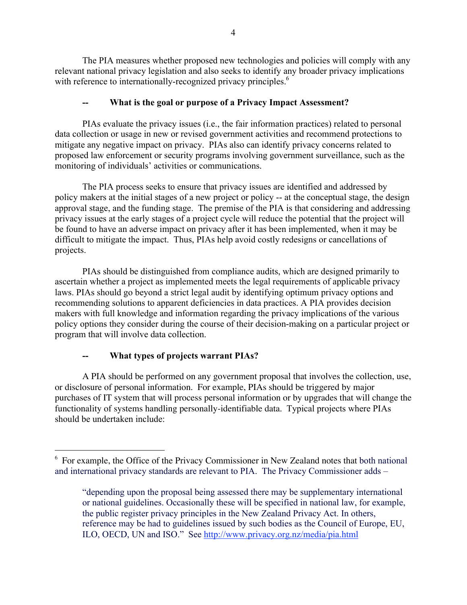The PIA measures whether proposed new technologies and policies will comply with any relevant national privacy legislation and also seeks to identify any broader privacy implications with reference to internationally-recognized privacy principles.<sup>6</sup>

## **-- What is the goal or purpose of a Privacy Impact Assessment?**

PIAs evaluate the privacy issues (i.e., the fair information practices) related to personal data collection or usage in new or revised government activities and recommend protections to mitigate any negative impact on privacy. PIAs also can identify privacy concerns related to proposed law enforcement or security programs involving government surveillance, such as the monitoring of individuals' activities or communications.

The PIA process seeks to ensure that privacy issues are identified and addressed by policy makers at the initial stages of a new project or policy -- at the conceptual stage, the design approval stage, and the funding stage. The premise of the PIA is that considering and addressing privacy issues at the early stages of a project cycle will reduce the potential that the project will be found to have an adverse impact on privacy after it has been implemented, when it may be difficult to mitigate the impact. Thus, PIAs help avoid costly redesigns or cancellations of projects.

PIAs should be distinguished from compliance audits, which are designed primarily to ascertain whether a project as implemented meets the legal requirements of applicable privacy laws. PIAs should go beyond a strict legal audit by identifying optimum privacy options and recommending solutions to apparent deficiencies in data practices. A PIA provides decision makers with full knowledge and information regarding the privacy implications of the various policy options they consider during the course of their decision-making on a particular project or program that will involve data collection.

# **-- What types of projects warrant PIAs?**

A PIA should be performed on any government proposal that involves the collection, use, or disclosure of personal information. For example, PIAs should be triggered by major purchases of IT system that will process personal information or by upgrades that will change the functionality of systems handling personally-identifiable data. Typical projects where PIAs should be undertaken include:

 <sup>6</sup>  $6$  For example, the Office of the Privacy Commissioner in New Zealand notes that both national and international privacy standards are relevant to PIA. The Privacy Commissioner adds –

<sup>&</sup>quot;depending upon the proposal being assessed there may be supplementary international or national guidelines. Occasionally these will be specified in national law, for example, the public register privacy principles in the New Zealand Privacy Act. In others, reference may be had to guidelines issued by such bodies as the Council of Europe, EU, ILO, OECD, UN and ISO." See http://www.privacy.org.nz/media/pia.html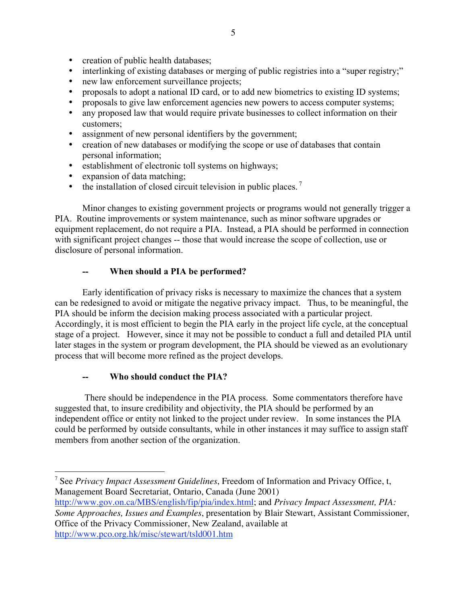creation of public health databases;

interlinking of existing databases or merging of public registries into a "super registry;" new law enforcement surveillance projects;

proposals to adopt a national ID card, or to add new biometrics to existing ID systems; proposals to give law enforcement agencies new powers to access computer systems; any proposed law that would require private businesses to collect information on their customers;

assignment of new personal identifiers by the government;

creation of new databases or modifying the scope or use of databases that contain personal information;

establishment of electronic toll systems on highways;

expansion of data matching;

the installation of closed circuit television in public places. <sup>7</sup>

Minor changes to existing government projects or programs would not generally trigger a PIA. Routine improvements or system maintenance, such as minor software upgrades or equipment replacement, do not require a PIA. Instead, a PIA should be performed in connection with significant project changes -- those that would increase the scope of collection, use or disclosure of personal information.

# **-- When should a PIA be performed?**

Early identification of privacy risks is necessary to maximize the chances that a system can be redesigned to avoid or mitigate the negative privacy impact. Thus, to be meaningful, the PIA should be inform the decision making process associated with a particular project. Accordingly, it is most efficient to begin the PIA early in the project life cycle, at the conceptual stage of a project. However, since it may not be possible to conduct a full and detailed PIA until later stages in the system or program development, the PIA should be viewed as an evolutionary process that will become more refined as the project develops.

# **-- Who should conduct the PIA?**

 There should be independence in the PIA process. Some commentators therefore have suggested that, to insure credibility and objectivity, the PIA should be performed by an independent office or entity not linked to the project under review. In some instances the PIA could be performed by outside consultants, while in other instances it may suffice to assign staff members from another section of the organization.

<sup>-&</sup>lt;br>7 <sup>7</sup> See *Privacy Impact Assessment Guidelines*, Freedom of Information and Privacy Office, t, Management Board Secretariat, Ontario, Canada (June 2001)

http://www.gov.on.ca/MBS/english/fip/pia/index.html; and *Privacy Impact Assessment, PIA: Some Approaches, Issues and Examples*, presentation by Blair Stewart, Assistant Commissioner, Office of the Privacy Commissioner, New Zealand, available at http://www.pco.org.hk/misc/stewart/tsld001.htm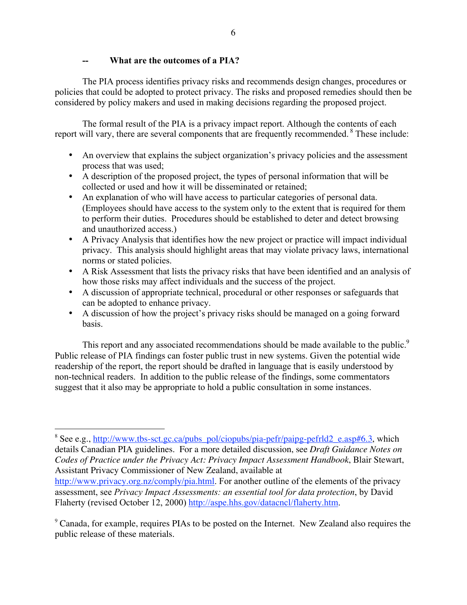#### **What are the outcomes of a PIA?**

The PIA process identifies privacy risks and recommends design changes, procedures or policies that could be adopted to protect privacy. The risks and proposed remedies should then be considered by policy makers and used in making decisions regarding the proposed project.

The formal result of the PIA is a privacy impact report. Although the contents of each report will vary, there are several components that are frequently recommended.<sup>8</sup> These include:

An overview that explains the subject organization's privacy policies and the assessment process that was used;

A description of the proposed project, the types of personal information that will be collected or used and how it will be disseminated or retained;

An explanation of who will have access to particular categories of personal data. (Employees should have access to the system only to the extent that is required for them to perform their duties. Procedures should be established to deter and detect browsing and unauthorized access.)

A Privacy Analysis that identifies how the new project or practice will impact individual privacy. This analysis should highlight areas that may violate privacy laws, international norms or stated policies.

A Risk Assessment that lists the privacy risks that have been identified and an analysis of how those risks may affect individuals and the success of the project.

A discussion of appropriate technical, procedural or other responses or safeguards that can be adopted to enhance privacy.

A discussion of how the project's privacy risks should be managed on a going forward basis.

This report and any associated recommendations should be made available to the public.<sup>9</sup> Public release of PIA findings can foster public trust in new systems. Given the potential wide readership of the report, the report should be drafted in language that is easily understood by non-technical readers. In addition to the public release of the findings, some commentators suggest that it also may be appropriate to hold a public consultation in some instances.

 <sup>8</sup> <sup>8</sup> See e.g., http://www.tbs-sct.gc.ca/pubs\_pol/ciopubs/pia-pefr/paipg-pefrld2\_e.asp#6.3, which details Canadian PIA guidelines. For a more detailed discussion, see *Draft Guidance Notes on Codes of Practice under the Privacy Act: Privacy Impact Assessment Handbook*, Blair Stewart, Assistant Privacy Commissioner of New Zealand, available at

http://www.privacy.org.nz/comply/pia.html. For another outline of the elements of the privacy assessment, see *Privacy Impact Assessments: an essential tool for data protection*, by David Flaherty (revised October 12, 2000) http://aspe.hhs.gov/datacncl/flaherty.htm.

<sup>&</sup>lt;sup>9</sup> Canada, for example, requires PIAs to be posted on the Internet. New Zealand also requires the public release of these materials.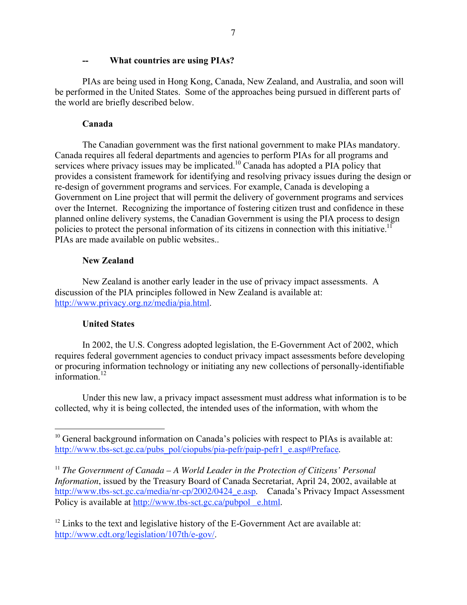#### **-- What countries are using PIAs?**

PIAs are being used in Hong Kong, Canada, New Zealand, and Australia, and soon will be performed in the United States. Some of the approaches being pursued in different parts of the world are briefly described below.

#### **Canada**

The Canadian government was the first national government to make PIAs mandatory. Canada requires all federal departments and agencies to perform PIAs for all programs and services where privacy issues may be implicated.<sup>10</sup> Canada has adopted a PIA policy that provides a consistent framework for identifying and resolving privacy issues during the design or re-design of government programs and services. For example, Canada is developing a Government on Line project that will permit the delivery of government programs and services over the Internet. Recognizing the importance of fostering citizen trust and confidence in these planned online delivery systems, the Canadian Government is using the PIA process to design policies to protect the personal information of its citizens in connection with this initiative.<sup>11</sup> PIAs are made available on public websites..

### **New Zealand**

New Zealand is another early leader in the use of privacy impact assessments. A discussion of the PIA principles followed in New Zealand is available at: http://www.privacy.org.nz/media/pia.html.

### **United States**

In 2002, the U.S. Congress adopted legislation, the E-Government Act of 2002, which requires federal government agencies to conduct privacy impact assessments before developing or procuring information technology or initiating any new collections of personally-identifiable information. $12$ 

Under this new law, a privacy impact assessment must address what information is to be collected, why it is being collected, the intended uses of the information, with whom the

 $10$  General background information on Canada's policies with respect to PIAs is available at: http://www.tbs-sct.gc.ca/pubs\_pol/ciopubs/pia-pefr/paip-pefr1\_e.asp#Preface.

<sup>&</sup>lt;sup>11</sup> *The Government of Canada – A World Leader in the Protection of Citizens' Personal Information*, issued by the Treasury Board of Canada Secretariat, April 24, 2002, available at http://www.tbs-sct.gc.ca/media/nr-cp/2002/0424\_e.asp. Canada's Privacy Impact Assessment Policy is available at http://www.tbs-sct.gc.ca/pubpol e.html.

 $12$  Links to the text and legislative history of the E-Government Act are available at: http://www.cdt.org/legislation/107th/e-gov/.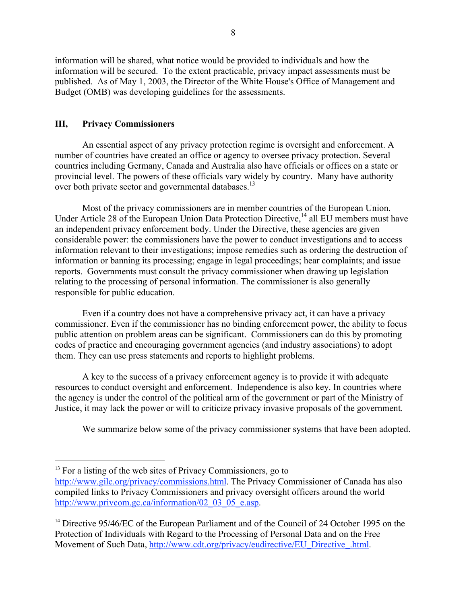information will be shared, what notice would be provided to individuals and how the information will be secured. To the extent practicable, privacy impact assessments must be published. As of May 1, 2003, the Director of the White House's Office of Management and Budget (OMB) was developing guidelines for the assessments.

### **III, Privacy Commissioners**

An essential aspect of any privacy protection regime is oversight and enforcement. A number of countries have created an office or agency to oversee privacy protection. Several countries including Germany, Canada and Australia also have officials or offices on a state or provincial level. The powers of these officials vary widely by country. Many have authority over both private sector and governmental databases.<sup>13</sup>

Most of the privacy commissioners are in member countries of the European Union. Under Article 28 of the European Union Data Protection Directive,<sup>14</sup> all EU members must have an independent privacy enforcement body. Under the Directive, these agencies are given considerable power: the commissioners have the power to conduct investigations and to access information relevant to their investigations; impose remedies such as ordering the destruction of information or banning its processing; engage in legal proceedings; hear complaints; and issue reports. Governments must consult the privacy commissioner when drawing up legislation relating to the processing of personal information. The commissioner is also generally responsible for public education.

Even if a country does not have a comprehensive privacy act, it can have a privacy commissioner. Even if the commissioner has no binding enforcement power, the ability to focus public attention on problem areas can be significant. Commissioners can do this by promoting codes of practice and encouraging government agencies (and industry associations) to adopt them. They can use press statements and reports to highlight problems.

A key to the success of a privacy enforcement agency is to provide it with adequate resources to conduct oversight and enforcement. Independence is also key. In countries where the agency is under the control of the political arm of the government or part of the Ministry of Justice, it may lack the power or will to criticize privacy invasive proposals of the government.

We summarize below some of the privacy commissioner systems that have been adopted.

 $13$  For a listing of the web sites of Privacy Commissioners, go to

http://www.gilc.org/privacy/commissions.html. The Privacy Commissioner of Canada has also compiled links to Privacy Commissioners and privacy oversight officers around the world http://www.privcom.gc.ca/information/02 03 05 e.asp.

<sup>&</sup>lt;sup>14</sup> Directive 95/46/EC of the European Parliament and of the Council of 24 October 1995 on the Protection of Individuals with Regard to the Processing of Personal Data and on the Free Movement of Such Data, http://www.cdt.org/privacy/eudirective/EU\_Directive\_.html.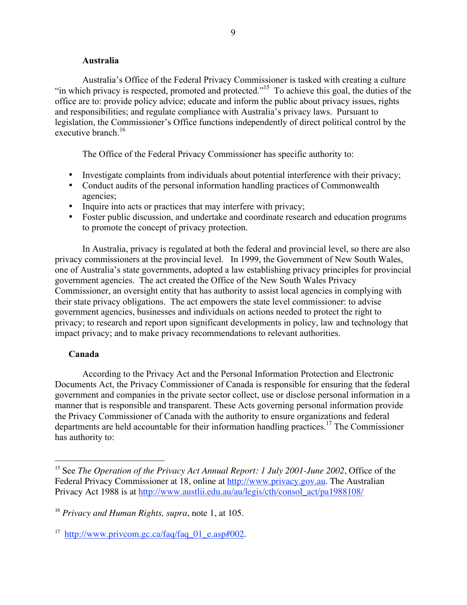#### **Australia**

Australia's Office of the Federal Privacy Commissioner is tasked with creating a culture "in which privacy is respected, promoted and protected."<sup>15</sup> To achieve this goal, the duties of the office are to: provide policy advice; educate and inform the public about privacy issues, rights and responsibilities; and regulate compliance with Australia's privacy laws. Pursuant to legislation, the Commissioner's Office functions independently of direct political control by the executive branch  $^{16}$ 

The Office of the Federal Privacy Commissioner has specific authority to:

Investigate complaints from individuals about potential interference with their privacy; Conduct audits of the personal information handling practices of Commonwealth agencies;

Inquire into acts or practices that may interfere with privacy;

Foster public discussion, and undertake and coordinate research and education programs to promote the concept of privacy protection.

In Australia, privacy is regulated at both the federal and provincial level, so there are also privacy commissioners at the provincial level. In 1999, the Government of New South Wales, one of Australia's state governments, adopted a law establishing privacy principles for provincial government agencies. The act created the Office of the New South Wales Privacy Commissioner, an oversight entity that has authority to assist local agencies in complying with their state privacy obligations. The act empowers the state level commissioner: to advise government agencies, businesses and individuals on actions needed to protect the right to privacy; to research and report upon significant developments in policy, law and technology that impact privacy; and to make privacy recommendations to relevant authorities.

#### **Canada**

According to the Privacy Act and the Personal Information Protection and Electronic Documents Act, the Privacy Commissioner of Canada is responsible for ensuring that the federal government and companies in the private sector collect, use or disclose personal information in a manner that is responsible and transparent. These Acts governing personal information provide the Privacy Commissioner of Canada with the authority to ensure organizations and federal departments are held accountable for their information handling practices.<sup>17</sup> The Commissioner has authority to:

 <sup>15</sup> See *The Operation of the Privacy Act Annual Report: 1 July 2001-June 2002*, Office of the Federal Privacy Commissioner at 18, online at http://www.privacy.gov.au. The Australian Privacy Act 1988 is at http://www.austlii.edu.au/au/legis/cth/consol\_act/pa1988108/

<sup>16</sup> *Privacy and Human Rights, supra*, note 1, at 105.

<sup>&</sup>lt;sup>17</sup> http://www.privcom.gc.ca/faq/faq\_01\_e.asp#002.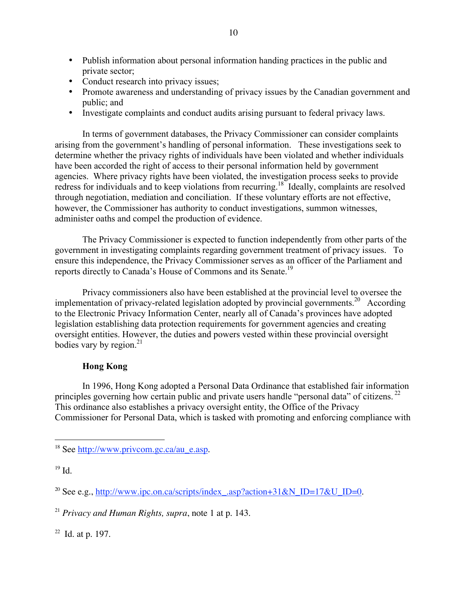Publish information about personal information handing practices in the public and private sector;

Conduct research into privacy issues;

Promote awareness and understanding of privacy issues by the Canadian government and public; and

Investigate complaints and conduct audits arising pursuant to federal privacy laws.

In terms of government databases, the Privacy Commissioner can consider complaints arising from the government's handling of personal information. These investigations seek to determine whether the privacy rights of individuals have been violated and whether individuals have been accorded the right of access to their personal information held by government agencies. Where privacy rights have been violated, the investigation process seeks to provide redress for individuals and to keep violations from recurring.<sup>18</sup> Ideally, complaints are resolved through negotiation, mediation and conciliation. If these voluntary efforts are not effective, however, the Commissioner has authority to conduct investigations, summon witnesses, administer oaths and compel the production of evidence.

The Privacy Commissioner is expected to function independently from other parts of the government in investigating complaints regarding government treatment of privacy issues. To ensure this independence, the Privacy Commissioner serves as an officer of the Parliament and reports directly to Canada's House of Commons and its Senate.<sup>19</sup>

Privacy commissioners also have been established at the provincial level to oversee the implementation of privacy-related legislation adopted by provincial governments.<sup>20</sup> According to the Electronic Privacy Information Center, nearly all of Canada's provinces have adopted legislation establishing data protection requirements for government agencies and creating oversight entities. However, the duties and powers vested within these provincial oversight bodies vary by region. $^{21}$ 

## **Hong Kong**

In 1996, Hong Kong adopted a Personal Data Ordinance that established fair information principles governing how certain public and private users handle "personal data" of citizens.<sup>22</sup> This ordinance also establishes a privacy oversight entity, the Office of the Privacy Commissioner for Personal Data, which is tasked with promoting and enforcing compliance with

 $22$  Id. at p. 197.

<sup>&</sup>lt;sup>18</sup> See <u>http://www.privcom.gc.ca/au\_e.asp</u>.

 $19$  Id.

<sup>&</sup>lt;sup>20</sup> See e.g., http://www.ipc.on.ca/scripts/index\_.asp?action+31&N\_ID=17&U\_ID=0.

<sup>21</sup> *Privacy and Human Rights, supra*, note 1 at p. 143.